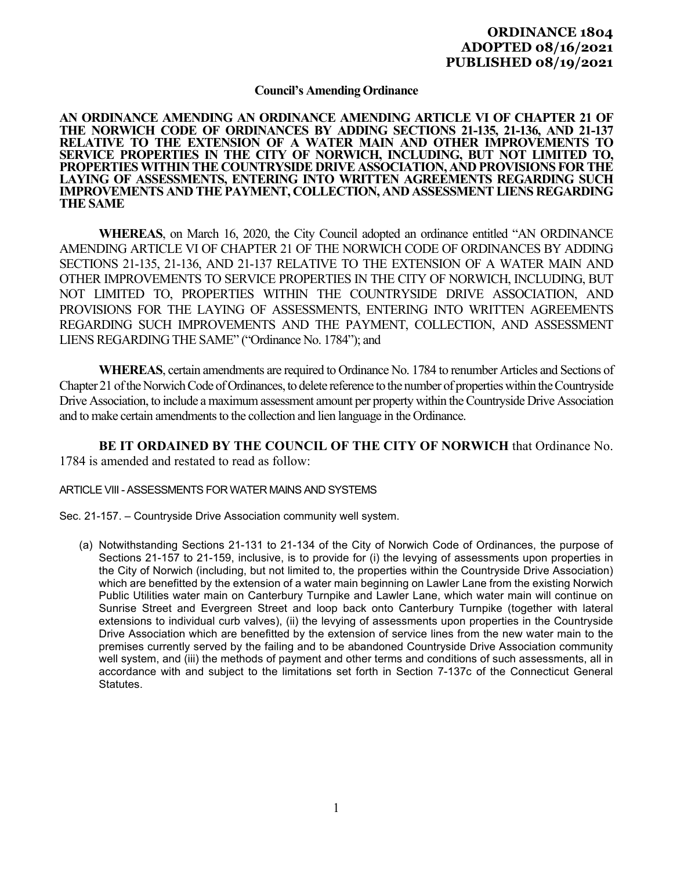# **ORDINANCE 1804 ADOPTED 08/16/2021 PUBLISHED 08/19/2021**

## **Council's Amending Ordinance**

#### **AN ORDINANCE AMENDING AN ORDINANCE AMENDING ARTICLE VI OF CHAPTER 21 OF THE NORWICH CODE OF ORDINANCES BY ADDING SECTIONS 21-135, 21-136, AND 21-137 RELATIVE TO THE EXTENSION OF A WATER MAIN AND OTHER IMPROVEMENTS TO SERVICE PROPERTIES IN THE CITY OF NORWICH, INCLUDING, BUT NOT LIMITED TO, PROPERTIES WITHIN THE COUNTRYSIDE DRIVE ASSOCIATION, AND PROVISIONS FOR THE LAYING OF ASSESSMENTS, ENTERING INTO WRITTEN AGREEMENTS REGARDING SUCH IMPROVEMENTS AND THE PAYMENT, COLLECTION, AND ASSESSMENT LIENS REGARDING THE SAME**

**WHEREAS**, on March 16, 2020, the City Council adopted an ordinance entitled "AN ORDINANCE AMENDING ARTICLE VI OF CHAPTER 21 OF THE NORWICH CODE OF ORDINANCES BY ADDING SECTIONS 21-135, 21-136, AND 21-137 RELATIVE TO THE EXTENSION OF A WATER MAIN AND OTHER IMPROVEMENTS TO SERVICE PROPERTIES IN THE CITY OF NORWICH, INCLUDING, BUT NOT LIMITED TO, PROPERTIES WITHIN THE COUNTRYSIDE DRIVE ASSOCIATION, AND PROVISIONS FOR THE LAYING OF ASSESSMENTS, ENTERING INTO WRITTEN AGREEMENTS REGARDING SUCH IMPROVEMENTS AND THE PAYMENT, COLLECTION, AND ASSESSMENT LIENS REGARDING THE SAME" ("Ordinance No. 1784"); and

**WHEREAS**, certain amendments are required to Ordinance No. 1784 to renumber Articles and Sections of Chapter 21 of the Norwich Code of Ordinances, to delete reference to the number of properties within the Countryside Drive Association, to include a maximum assessment amount per property within the Countryside Drive Association and to make certain amendments to the collection and lien language in the Ordinance.

**BE IT ORDAINED BY THE COUNCIL OF THE CITY OF NORWICH** that Ordinance No. 1784 is amended and restated to read as follow:

### ARTICLE VIII - ASSESSMENTS FOR WATER MAINS AND SYSTEMS

Sec. 21-157. – Countryside Drive Association community well system.

(a) Notwithstanding Sections 21-131 to 21-134 of the City of Norwich Code of Ordinances, the purpose of Sections 21-157 to 21-159, inclusive, is to provide for (i) the levying of assessments upon properties in the City of Norwich (including, but not limited to, the properties within the Countryside Drive Association) which are benefitted by the extension of a water main beginning on Lawler Lane from the existing Norwich Public Utilities water main on Canterbury Turnpike and Lawler Lane, which water main will continue on Sunrise Street and Evergreen Street and loop back onto Canterbury Turnpike (together with lateral extensions to individual curb valves), (ii) the levying of assessments upon properties in the Countryside Drive Association which are benefitted by the extension of service lines from the new water main to the premises currently served by the failing and to be abandoned Countryside Drive Association community well system, and (iii) the methods of payment and other terms and conditions of such assessments, all in accordance with and subject to the limitations set forth in Section 7-137c of the Connecticut General Statutes.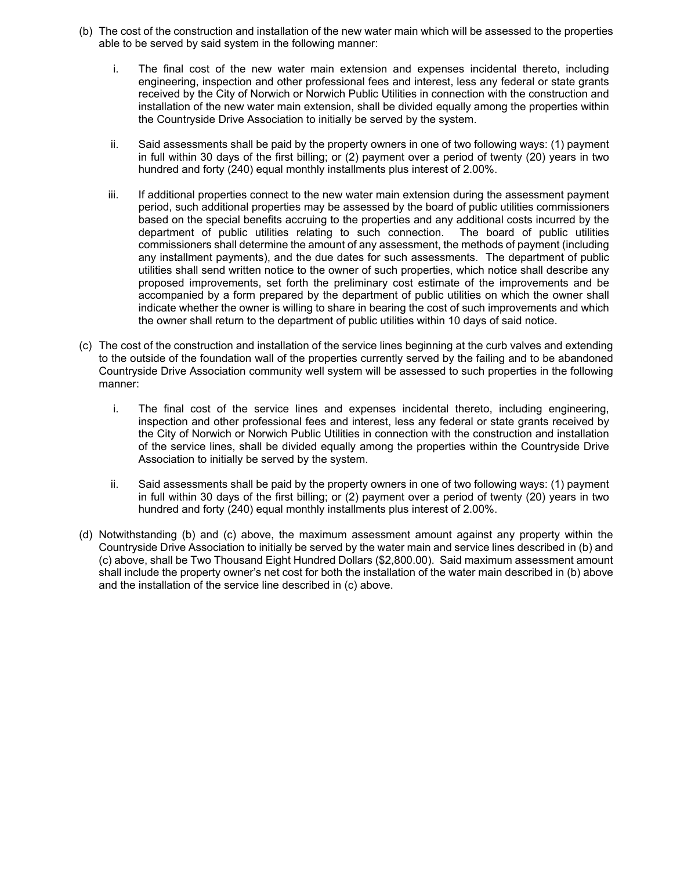- (b) The cost of the construction and installation of the new water main which will be assessed to the properties able to be served by said system in the following manner:
	- i. The final cost of the new water main extension and expenses incidental thereto, including engineering, inspection and other professional fees and interest, less any federal or state grants received by the City of Norwich or Norwich Public Utilities in connection with the construction and installation of the new water main extension, shall be divided equally among the properties within the Countryside Drive Association to initially be served by the system.
	- ii. Said assessments shall be paid by the property owners in one of two following ways: (1) payment in full within 30 days of the first billing; or (2) payment over a period of twenty (20) years in two hundred and forty (240) equal monthly installments plus interest of 2.00%.
	- iii. If additional properties connect to the new water main extension during the assessment payment period, such additional properties may be assessed by the board of public utilities commissioners based on the special benefits accruing to the properties and any additional costs incurred by the department of public utilities relating to such connection. The board of public utilities commissioners shall determine the amount of any assessment, the methods of payment (including any installment payments), and the due dates for such assessments. The department of public utilities shall send written notice to the owner of such properties, which notice shall describe any proposed improvements, set forth the preliminary cost estimate of the improvements and be accompanied by a form prepared by the department of public utilities on which the owner shall indicate whether the owner is willing to share in bearing the cost of such improvements and which the owner shall return to the department of public utilities within 10 days of said notice.
- (c) The cost of the construction and installation of the service lines beginning at the curb valves and extending to the outside of the foundation wall of the properties currently served by the failing and to be abandoned Countryside Drive Association community well system will be assessed to such properties in the following manner:
	- i. The final cost of the service lines and expenses incidental thereto, including engineering, inspection and other professional fees and interest, less any federal or state grants received by the City of Norwich or Norwich Public Utilities in connection with the construction and installation of the service lines, shall be divided equally among the properties within the Countryside Drive Association to initially be served by the system.
	- ii. Said assessments shall be paid by the property owners in one of two following ways: (1) payment in full within 30 days of the first billing; or (2) payment over a period of twenty (20) years in two hundred and forty (240) equal monthly installments plus interest of 2.00%.
- (d) Notwithstanding (b) and (c) above, the maximum assessment amount against any property within the Countryside Drive Association to initially be served by the water main and service lines described in (b) and (c) above, shall be Two Thousand Eight Hundred Dollars (\$2,800.00). Said maximum assessment amount shall include the property owner's net cost for both the installation of the water main described in (b) above and the installation of the service line described in (c) above.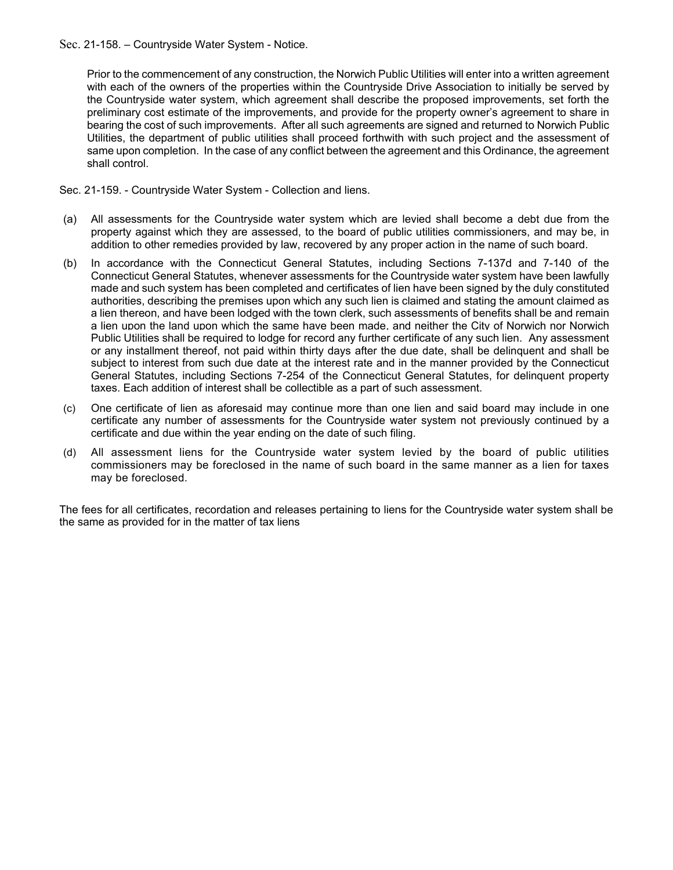### Sec. 21-158. – Countryside Water System - Notice.

Prior to the commencement of any construction, the Norwich Public Utilities will enter into a written agreement with each of the owners of the properties within the Countryside Drive Association to initially be served by the Countryside water system, which agreement shall describe the proposed improvements, set forth the preliminary cost estimate of the improvements, and provide for the property owner's agreement to share in bearing the cost of such improvements. After all such agreements are signed and returned to Norwich Public Utilities, the department of public utilities shall proceed forthwith with such project and the assessment of same upon completion. In the case of any conflict between the agreement and this Ordinance, the agreement shall control.

Sec. 21-159. - Countryside Water System - Collection and liens.

- (a) All assessments for the Countryside water system which are levied shall become a debt due from the property against which they are assessed, to the board of public utilities commissioners, and may be, in addition to other remedies provided by law, recovered by any proper action in the name of such board.
- (b) In accordance with the Connecticut General Statutes, including Sections 7-137d and 7-140 of the Connecticut General Statutes, whenever assessments for the Countryside water system have been lawfully made and such system has been completed and certificates of lien have been signed by the duly constituted authorities, describing the premises upon which any such lien is claimed and stating the amount claimed as a lien thereon, and have been lodged with the town clerk, such assessments of benefits shall be and remain a lien upon the land upon which the same have been made, and neither the City of Norwich nor Norwich Public Utilities shall be required to lodge for record any further certificate of any such lien. Any assessment or any installment thereof, not paid within thirty days after the due date, shall be delinquent and shall be subject to interest from such due date at the interest rate and in the manner provided by the Connecticut General Statutes, including Sections 7-254 of the Connecticut General Statutes, for delinquent property taxes. Each addition of interest shall be collectible as a part of such assessment.
- (c) One certificate of lien as aforesaid may continue more than one lien and said board may include in one certificate any number of assessments for the Countryside water system not previously continued by a certificate and due within the year ending on the date of such filing.
- (d) All assessment liens for the Countryside water system levied by the board of public utilities commissioners may be foreclosed in the name of such board in the same manner as a lien for taxes may be foreclosed.

The fees for all certificates, recordation and releases pertaining to liens for the Countryside water system shall be the same as provided for in the matter of tax liens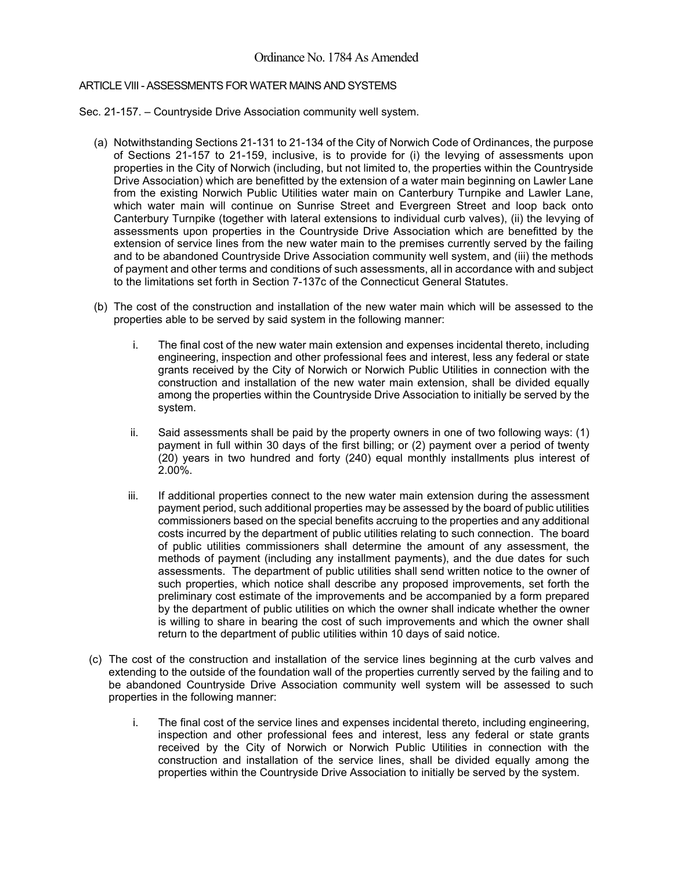## ARTICLE VIII - ASSESSMENTS FOR WATER MAINS AND SYSTEMS

Sec. 21-157. – Countryside Drive Association community well system.

- (a) Notwithstanding Sections 21-131 to 21-134 of the City of Norwich Code of Ordinances, the purpose of Sections 21-157 to 21-159, inclusive, is to provide for (i) the levying of assessments upon properties in the City of Norwich (including, but not limited to, the properties within the Countryside Drive Association) which are benefitted by the extension of a water main beginning on Lawler Lane from the existing Norwich Public Utilities water main on Canterbury Turnpike and Lawler Lane, which water main will continue on Sunrise Street and Evergreen Street and loop back onto Canterbury Turnpike (together with lateral extensions to individual curb valves), (ii) the levying of assessments upon properties in the Countryside Drive Association which are benefitted by the extension of service lines from the new water main to the premises currently served by the failing and to be abandoned Countryside Drive Association community well system, and (iii) the methods of payment and other terms and conditions of such assessments, all in accordance with and subject to the limitations set forth in Section 7-137c of the Connecticut General Statutes.
- (b) The cost of the construction and installation of the new water main which will be assessed to the properties able to be served by said system in the following manner:
	- i. The final cost of the new water main extension and expenses incidental thereto, including engineering, inspection and other professional fees and interest, less any federal or state grants received by the City of Norwich or Norwich Public Utilities in connection with the construction and installation of the new water main extension, shall be divided equally among the properties within the Countryside Drive Association to initially be served by the system.
	- ii. Said assessments shall be paid by the property owners in one of two following ways: (1) payment in full within 30 days of the first billing; or (2) payment over a period of twenty (20) years in two hundred and forty (240) equal monthly installments plus interest of 2.00%.
	- iii. If additional properties connect to the new water main extension during the assessment payment period, such additional properties may be assessed by the board of public utilities commissioners based on the special benefits accruing to the properties and any additional costs incurred by the department of public utilities relating to such connection. The board of public utilities commissioners shall determine the amount of any assessment, the methods of payment (including any installment payments), and the due dates for such assessments. The department of public utilities shall send written notice to the owner of such properties, which notice shall describe any proposed improvements, set forth the preliminary cost estimate of the improvements and be accompanied by a form prepared by the department of public utilities on which the owner shall indicate whether the owner is willing to share in bearing the cost of such improvements and which the owner shall return to the department of public utilities within 10 days of said notice.
- (c) The cost of the construction and installation of the service lines beginning at the curb valves and extending to the outside of the foundation wall of the properties currently served by the failing and to be abandoned Countryside Drive Association community well system will be assessed to such properties in the following manner:
	- i. The final cost of the service lines and expenses incidental thereto, including engineering, inspection and other professional fees and interest, less any federal or state grants received by the City of Norwich or Norwich Public Utilities in connection with the construction and installation of the service lines, shall be divided equally among the properties within the Countryside Drive Association to initially be served by the system.